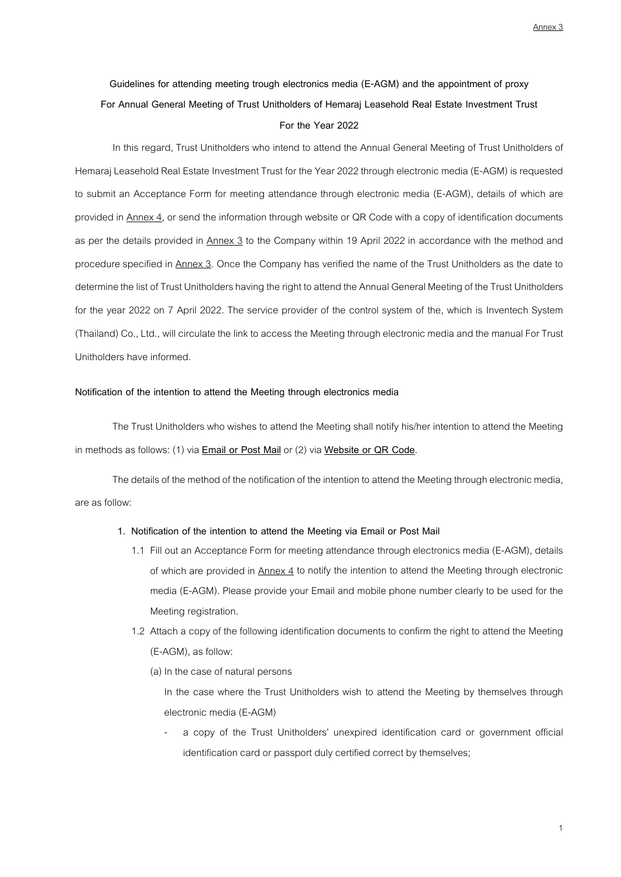Annex 3

# **Guidelines for attending meeting trough electronics media (E-AGM) and the appointment of proxy For Annual General Meeting of Trust Unitholders of Hemaraj Leasehold Real Estate Investment Trust For the Year 2022**

In this regard, Trust Unitholders who intend to attend the Annual General Meeting of Trust Unitholders of Hemaraj Leasehold Real Estate Investment Trust for the Year 2022 through electronic media (E-AGM) is requested to submit an Acceptance Form for meeting attendance through electronic media (E-AGM), details of which are provided in Annex 4, or send the information through website or QR Code with a copy of identification documents as per the details provided in Annex 3 to the Company within 19 April 2022 in accordance with the method and procedure specified in Annex 3. Once the Company has verified the name of the Trust Unitholders as the date to determine the list of Trust Unitholders having the right to attend the Annual General Meeting of the Trust Unitholders for the year 2022 on 7 April 2022. The service provider of the control system of the, which is Inventech System (Thailand) Co., Ltd., will circulate the link to access the Meeting through electronic media and the manual For Trust Unitholders have informed.

## **Notification of the intention to attend the Meeting through electronics media**

The Trust Unitholders who wishes to attend the Meeting shall notify his/her intention to attend the Meeting in methods as follows: (1) via **Email or Post Mail**or (2) via **Website or QR Code**.

The details of the method of the notification of the intention to attend the Meeting through electronic media, are as follow:

## **1. Notification of the intention to attend the Meeting via Email or Post Mail**

- 1.1 Fill out an Acceptance Form for meeting attendance through electronics media (E-AGM), details of which are provided in Annex 4 to notify the intention to attend the Meeting through electronic media (E-AGM). Please provide your Email and mobile phone number clearly to be used for the Meeting registration.
- 1.2 Attach a copy of the following identification documents to confirm the right to attend the Meeting (E-AGM), as follow:
	- (a) In the case of natural persons

In the case where the Trust Unitholders wish to attend the Meeting by themselves through electronic media (E-AGM)

a copy of the Trust Unitholders' unexpired identification card or government official identification card or passport duly certified correct by themselves;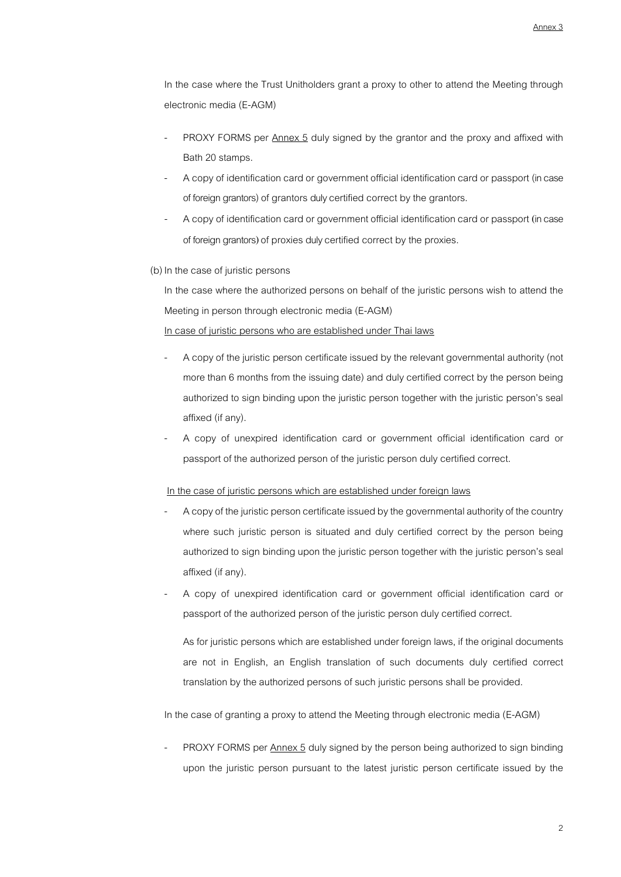In the case where the Trust Unitholders grant a proxy to other to attend the Meeting through electronic media (E-AGM)

- PROXY FORMS per Annex 5 duly signed by the grantor and the proxy and affixed with Bath 20 stamps.
- A copy of identification card or government official identification card or passport (in case of foreign grantors) of grantors duly certified correct by the grantors.
- A copy of identification card or government official identification card or passport (in case of foreign grantors) of proxies duly certified correct by the proxies.
- (b) In the case of juristic persons

In the case where the authorized persons on behalf of the juristic persons wish to attend the Meeting in person through electronic media (E-AGM)

In case of juristic persons who are established under Thai laws

- A copy of the juristic person certificate issued by the relevant governmental authority (not more than 6 months from the issuing date) and duly certified correct by the person being authorized to sign binding upon the juristic person together with the juristic person's seal affixed (if any).
- A copy of unexpired identification card or government official identification card or passport of the authorized person of the juristic person duly certified correct.

#### In the case of juristic persons which are established under foreign laws

- A copy of the juristic person certificate issued by the governmental authority of the country where such juristic person is situated and duly certified correct by the person being authorized to sign binding upon the juristic person together with the juristic person's seal affixed (if any).
- A copy of unexpired identification card or government official identification card or passport of the authorized person of the juristic person duly certified correct.

As for juristic persons which are established under foreign laws, if the original documents are not in English, an English translation of such documents duly certified correct translation by the authorized persons of such juristic persons shall be provided.

In the case of granting a proxy to attend the Meeting through electronic media (E-AGM)

- PROXY FORMS per Annex 5 duly signed by the person being authorized to sign binding upon the juristic person pursuant to the latest juristic person certificate issued by the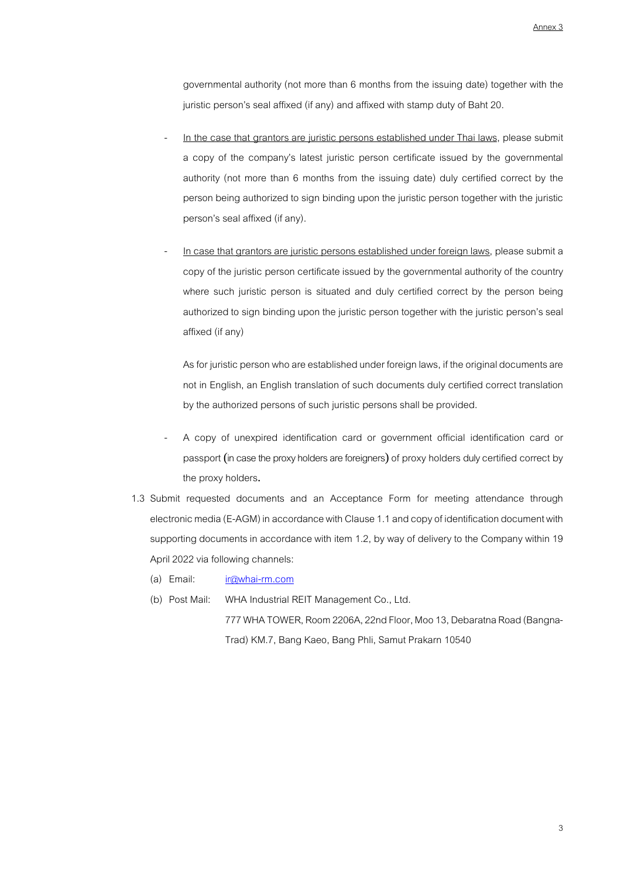governmental authority (not more than 6 months from the issuing date) together with the juristic person's seal affixed (if any) and affixed with stamp duty of Baht 20.

- In the case that grantors are juristic persons established under Thai laws, please submit a copy of the company's latest juristic person certificate issued by the governmental authority (not more than 6 months from the issuing date) duly certified correct by the person being authorized to sign binding upon the juristic person together with the juristic person's seal affixed (if any).
- In case that grantors are juristic persons established under foreign laws, please submit a copy of the juristic person certificate issued by the governmental authority of the country where such juristic person is situated and duly certified correct by the person being authorized to sign binding upon the juristic person together with the juristic person's seal affixed (if any)

As for juristic person who are established under foreign laws, if the original documents are not in English, an English translation of such documents duly certified correct translation by the authorized persons of such juristic persons shall be provided.

- A copy of unexpired identification card or government official identification card or passport (in case the proxy holders are foreigners) of proxy holders duly certified correct by the proxy holders.
- 1.3 Submit requested documents and an Acceptance Form for meeting attendance through electronic media (E-AGM) in accordance with Clause 1.1 and copy of identification document with supporting documents in accordance with item 1.2, by way of delivery to the Company within 19 April 2022 via following channels:
	- (a) Email: [ir@whai-rm.com](mailto:ir@whai-rm.com)
	- (b) Post Mail: WHA Industrial REIT Management Co., Ltd.

777 WHA TOWER, Room 2206A, 22nd Floor, Moo 13, Debaratna Road (Bangna-Trad) KM.7, Bang Kaeo, Bang Phli, Samut Prakarn 10540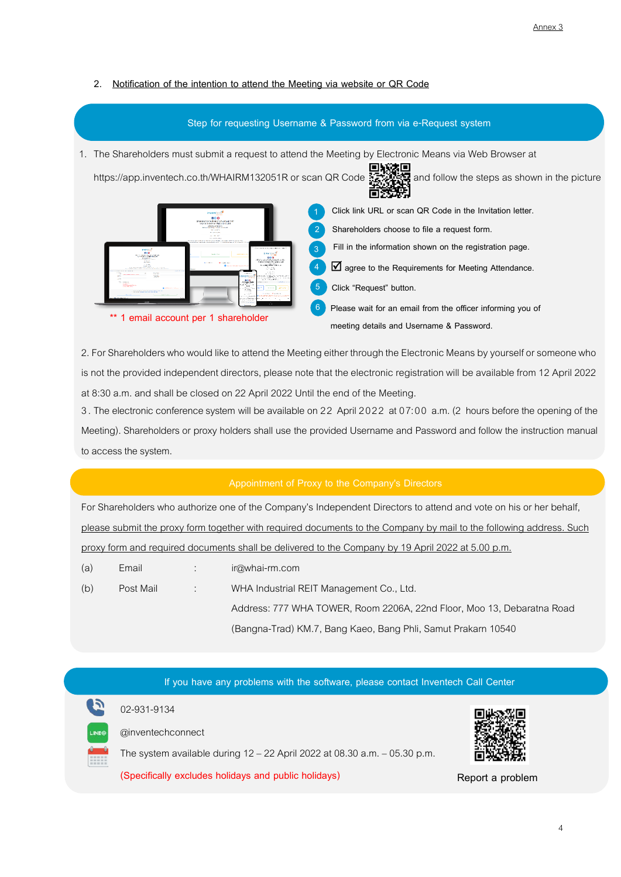# **2. Notification of the intention to attend the Meeting via website or QR Code**



2.For Shareholders who would like to attend the Meeting either through the Electronic Means by yourself or someone who is not the provided independent directors, please note that the electronic registration will be available from 12 April 2022 at 8:30 a.m. and shall be closed on 22 April 2022 Until the end of the Meeting.

3. The electronic conference system will be available on 22 April 2022 at 07:00 a.m. (2 hours before the opening of the Meeting). Shareholders or proxy holders shall use the provided Username and Password and follow the instruction manual to access the system.

## **Appointment of Proxy to the Company's Directors**

For Shareholders who authorize one of the Company's Independent Directors to attend and vote on his or her behalf, please submit the proxy form together with required documents to the Company by mail to the following address. Such proxy form and required documents shall be delivered to the Company by 19 April 2022 at 5.00 p.m.

| (a) | Email     |                    | ir@whai-rm.com                                                         |
|-----|-----------|--------------------|------------------------------------------------------------------------|
| (b) | Post Mail | <b>The Control</b> | WHA Industrial REIT Management Co., Ltd.                               |
|     |           |                    | Address: 777 WHA TOWER, Room 2206A, 22nd Floor, Moo 13, Debaratna Road |
|     |           |                    | (Bangna-Trad) KM.7, Bang Kaeo, Bang Phli, Samut Prakarn 10540          |

|              | If you have any problems with the software, please contact Inventech Call Center |                  |  |  |  |  |  |
|--------------|----------------------------------------------------------------------------------|------------------|--|--|--|--|--|
|              | 02-931-9134                                                                      |                  |  |  |  |  |  |
| <b>LINE®</b> | @inventechconnect                                                                |                  |  |  |  |  |  |
|              | The system available during 12 - 22 April 2022 at 08.30 a.m. - 05.30 p.m.        |                  |  |  |  |  |  |
|              | (Specifically excludes holidays and public holidays)                             | Report a problem |  |  |  |  |  |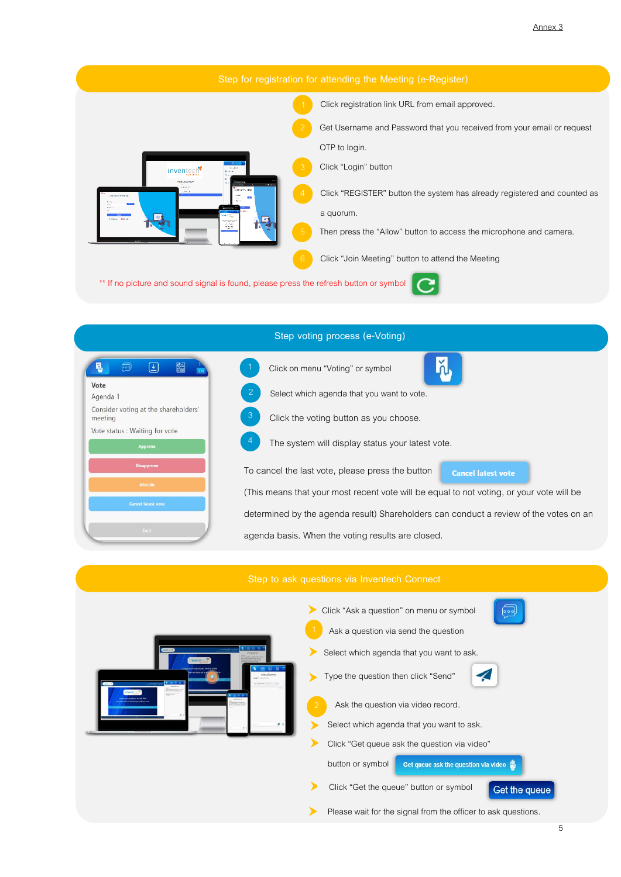



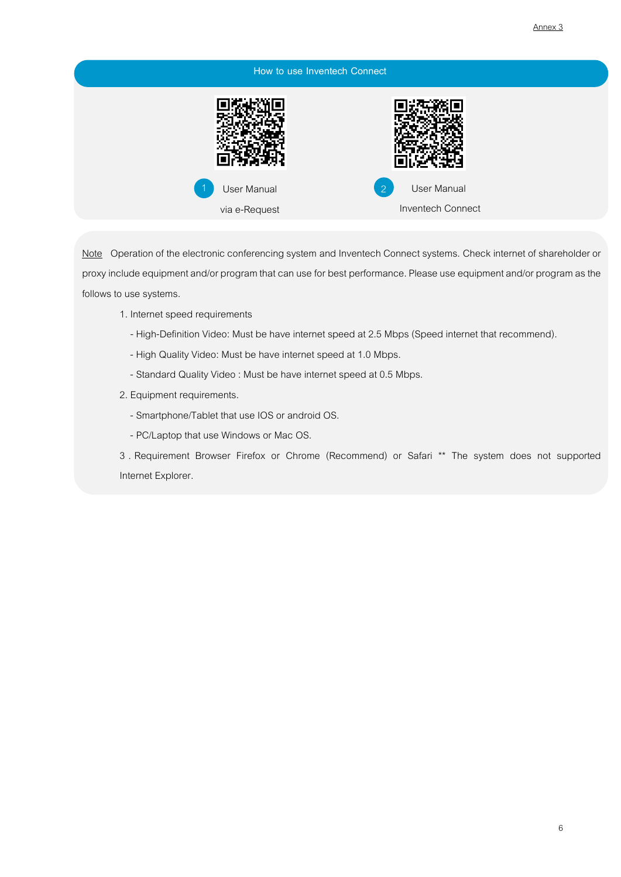| How to use Inventech Connect |                                                |  |
|------------------------------|------------------------------------------------|--|
|                              |                                                |  |
| User Manual<br>via e-Request | User Manual<br>$\sqrt{2}$<br>Inventech Connect |  |

Note Operation of the electronic conferencing system and Inventech Connect systems. Check internet of shareholder or proxy include equipment and/or program that can use for best performance. Please use equipment and/or program as the follows to use systems.

- 1. Internet speed requirements
	- High-Definition Video: Must be have internet speed at 2.5 Mbps (Speed internet that recommend).
	- High Quality Video: Must be have internet speed at 1.0 Mbps.
	- Standard Quality Video : Must be have internet speed at 0.5 Mbps.
- 2. Equipment requirements.
	- Smartphone/Tablet that use IOS or android OS.
	- PC/Laptop that use Windows or Mac OS.

3 . Requirement Browser Firefox or Chrome (Recommend) or Safari \*\* The system does not supported Internet Explorer.